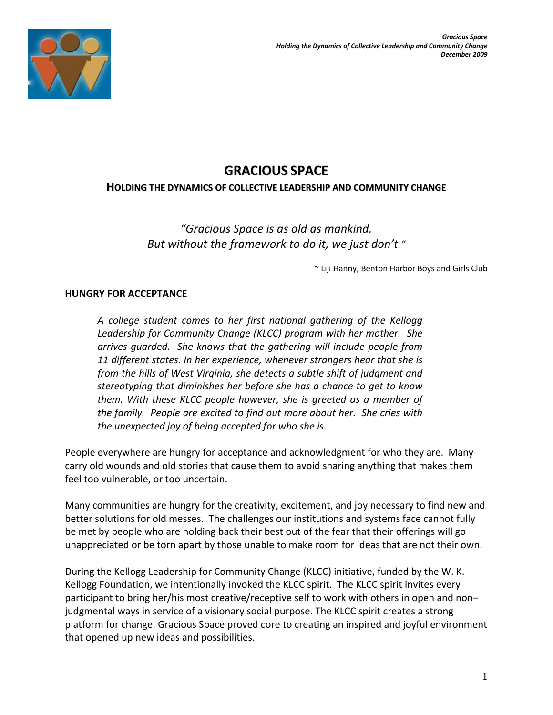

# **GRACIOUS SPACE**

### **HOLDING THE DYNAMICS OF COLLECTIVE LEADERSHIP AND COMMUNITY CHANGE**

*"Gracious Space is as old as mankind. But without the framework to do it, we just don't."* 

~ Liji Hanny, Benton Harbor Boys and Girls Club

## **HUNGRY FOR ACCEPTANCE**

*A college student comes to her first national gathering of the Kellogg Leadership for Community Change (KLCC) program with her mother. She arrives guarded. She knows that the gathering will include people from 11 different states. In her experience, whenever strangers hear that she is from the hills of West Virginia, she detects a subtle shift of judgment and stereotyping that diminishes her before she has a chance to get to know them. With these KLCC people however, she is greeted as a member of the family. People are excited to find out more about her. She cries with the unexpected joy of being accepted for who she i*s.

People everywhere are hungry for acceptance and acknowledgment for who they are. Many carry old wounds and old stories that cause them to avoid sharing anything that makes them feel too vulnerable, or too uncertain.

Many communities are hungry for the creativity, excitement, and joy necessary to find new and better solutions for old messes. The challenges our institutions and systems face cannot fully be met by people who are holding back their best out of the fear that their offerings will go unappreciated or be torn apart by those unable to make room for ideas that are not their own.

During the Kellogg Leadership for Community Change (KLCC) initiative, funded by the W. K. Kellogg Foundation, we intentionally invoked the KLCC spirit. The KLCC spirit invites every participant to bring her/his most creative/receptive self to work with others in open and non– judgmental ways in service of a visionary social purpose. The KLCC spirit creates a strong platform for change. Gracious Space proved core to creating an inspired and joyful environment that opened up new ideas and possibilities.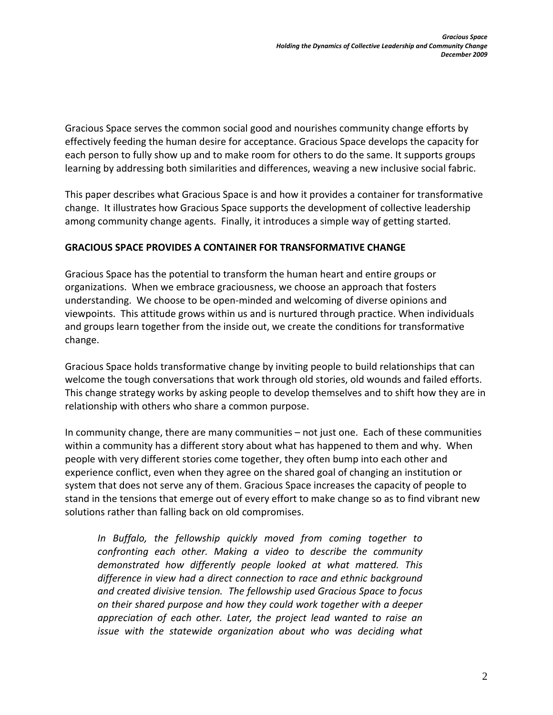Gracious Space serves the common social good and nourishes community change efforts by effectively feeding the human desire for acceptance. Gracious Space develops the capacity for each person to fully show up and to make room for others to do the same. It supports groups learning by addressing both similarities and differences, weaving a new inclusive social fabric.

This paper describes what Gracious Space is and how it provides a container for transformative change. It illustrates how Gracious Space supports the development of collective leadership among community change agents. Finally, it introduces a simple way of getting started.

### **GRACIOUS SPACE PROVIDES A CONTAINER FOR TRANSFORMATIVE CHANGE**

Gracious Space has the potential to transform the human heart and entire groups or organizations. When we embrace graciousness, we choose an approach that fosters understanding. We choose to be open-minded and welcoming of diverse opinions and viewpoints. This attitude grows within us and is nurtured through practice. When individuals and groups learn together from the inside out, we create the conditions for transformative change.

Gracious Space holds transformative change by inviting people to build relationships that can welcome the tough conversations that work through old stories, old wounds and failed efforts. This change strategy works by asking people to develop themselves and to shift how they are in relationship with others who share a common purpose.

In community change, there are many communities – not just one. Each of these communities within a community has a different story about what has happened to them and why. When people with very different stories come together, they often bump into each other and experience conflict, even when they agree on the shared goal of changing an institution or system that does not serve any of them. Gracious Space increases the capacity of people to stand in the tensions that emerge out of every effort to make change so as to find vibrant new solutions rather than falling back on old compromises.

*In Buffalo, the fellowship quickly moved from coming together to confronting each other. Making a video to describe the community demonstrated how differently people looked at what mattered. This difference in view had a direct connection to race and ethnic background and created divisive tension. The fellowship used Gracious Space to focus on their shared purpose and how they could work together with a deeper appreciation of each other. Later, the project lead wanted to raise an issue with the statewide organization about who was deciding what*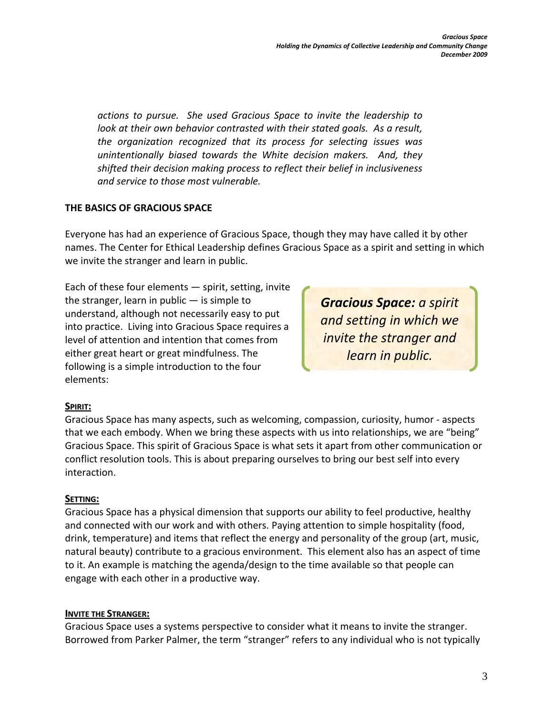*actions to pursue. She used Gracious Space to invite the leadership to look at their own behavior contrasted with their stated goals. As a result, the organization recognized that its process for selecting issues was unintentionally biased towards the White decision makers. And, they shifted their decision making process to reflect their belief in inclusiveness and service to those most vulnerable.* 

## **THE BASICS OF GRACIOUS SPACE**

Everyone has had an experience of Gracious Space, though they may have called it by other names. The Center for Ethical Leadership defines Gracious Space as a spirit and setting in which we invite the stranger and learn in public.

Each of these four elements — spirit, setting, invite the stranger, learn in public  $-$  is simple to understand, although not necessarily easy to put into practice. Living into Gracious Space requires a level of attention and intention that comes from either great heart or great mindfulness. The following is a simple introduction to the four elements:

*Gracious Space: a spirit and setting in which we invite the stranger and learn in public.* 

### **SPIRIT:**

Gracious Space has many aspects, such as welcoming, compassion, curiosity, humor - aspects that we each embody. When we bring these aspects with us into relationships, we are "being" Gracious Space. This spirit of Gracious Space is what sets it apart from other communication or conflict resolution tools. This is about preparing ourselves to bring our best self into every interaction.

### **SETTING:**

Gracious Space has a physical dimension that supports our ability to feel productive, healthy and connected with our work and with others. Paying attention to simple hospitality (food, drink, temperature) and items that reflect the energy and personality of the group (art, music, natural beauty) contribute to a gracious environment. This element also has an aspect of time to it. An example is matching the agenda/design to the time available so that people can engage with each other in a productive way.

## **INVITE THE STRANGER:**

Gracious Space uses a systems perspective to consider what it means to invite the stranger. Borrowed from Parker Palmer, the term "stranger" refers to any individual who is not typically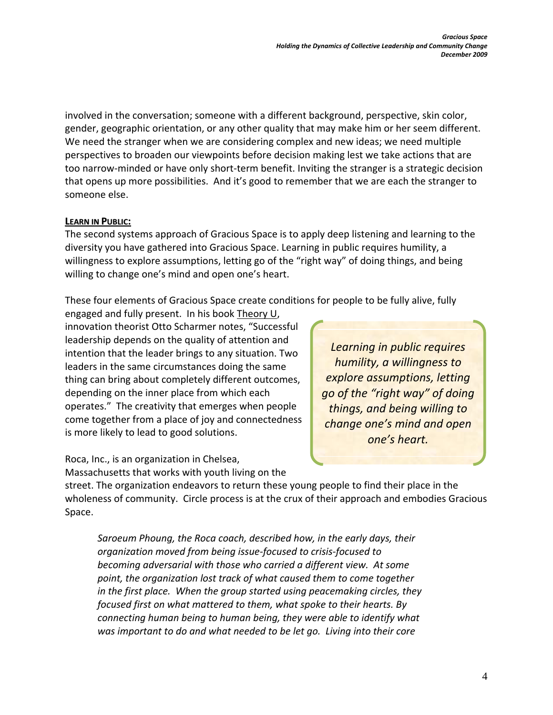involved in the conversation; someone with a different background, perspective, skin color, gender, geographic orientation, or any other quality that may make him or her seem different. We need the stranger when we are considering complex and new ideas; we need multiple perspectives to broaden our viewpoints before decision making lest we take actions that are too narrow-minded or have only short-term benefit. Inviting the stranger is a strategic decision that opens up more possibilities. And it's good to remember that we are each the stranger to someone else.

### **LEARN IN PUBLIC:**

The second systems approach of Gracious Space is to apply deep listening and learning to the diversity you have gathered into Gracious Space. Learning in public requires humility, a willingness to explore assumptions, letting go of the "right way" of doing things, and being willing to change one's mind and open one's heart.

These four elements of Gracious Space create conditions for people to be fully alive, fully

engaged and fully present. In his book Theory U, innovation theorist Otto Scharmer notes, "Successful leadership depends on the quality of attention and intention that the leader brings to any situation. Two leaders in the same circumstances doing the same thing can bring about completely different outcomes, depending on the inner place from which each operates." The creativity that emerges when people come together from a place of joy and connectedness is more likely to lead to good solutions.

Roca, Inc., is an organization in Chelsea, Massachusetts that works with youth living on the

*Learning in public requires humility, a willingness to explore assumptions, letting go of the "right way" of doing things, and being willing to change one's mind and open one's heart.*

street. The organization endeavors to return these young people to find their place in the wholeness of community. Circle process is at the crux of their approach and embodies Gracious Space.

*Saroeum Phoung, the Roca coach, described how, in the early days, their organization moved from being issue-focused to crisis-focused to becoming adversarial with those who carried a different view. At some point, the organization lost track of what caused them to come together in the first place. When the group started using peacemaking circles, they focused first on what mattered to them, what spoke to their hearts. By connecting human being to human being, they were able to identify what was important to do and what needed to be let go. Living into their core*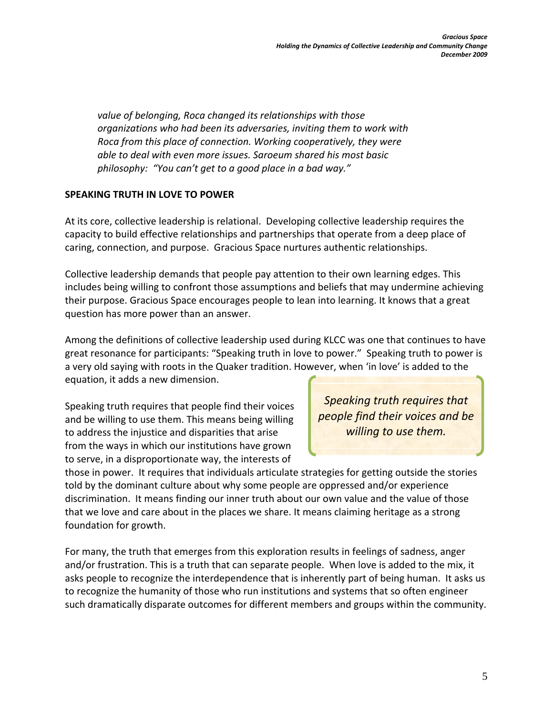*value of belonging, Roca changed its relationships with those organizations who had been its adversaries, inviting them to work with Roca from this place of connection. Working cooperatively, they were able to deal with even more issues. Saroeum shared his most basic philosophy: "You can't get to a good place in a bad way."* 

#### **SPEAKING TRUTH IN LOVE TO POWER**

At its core, collective leadership is relational. Developing collective leadership requires the capacity to build effective relationships and partnerships that operate from a deep place of caring, connection, and purpose. Gracious Space nurtures authentic relationships.

Collective leadership demands that people pay attention to their own learning edges. This includes being willing to confront those assumptions and beliefs that may undermine achieving their purpose. Gracious Space encourages people to lean into learning. It knows that a great question has more power than an answer.

Among the definitions of collective leadership used during KLCC was one that continues to have great resonance for participants: "Speaking truth in love to power." Speaking truth to power is a very old saying with roots in the Quaker tradition. However, when 'in love' is added to the equation, it adds a new dimension.

Speaking truth requires that people find their voices and be willing to use them. This means being willing to address the injustice and disparities that arise from the ways in which our institutions have grown to serve, in a disproportionate way, the interests of

*Speaking truth requires that people find their voices and be willing to use them.*

those in power. It requires that individuals articulate strategies for getting outside the stories told by the dominant culture about why some people are oppressed and/or experience discrimination. It means finding our inner truth about our own value and the value of those that we love and care about in the places we share. It means claiming heritage as a strong foundation for growth.

For many, the truth that emerges from this exploration results in feelings of sadness, anger and/or frustration. This is a truth that can separate people. When love is added to the mix, it asks people to recognize the interdependence that is inherently part of being human. It asks us to recognize the humanity of those who run institutions and systems that so often engineer such dramatically disparate outcomes for different members and groups within the community.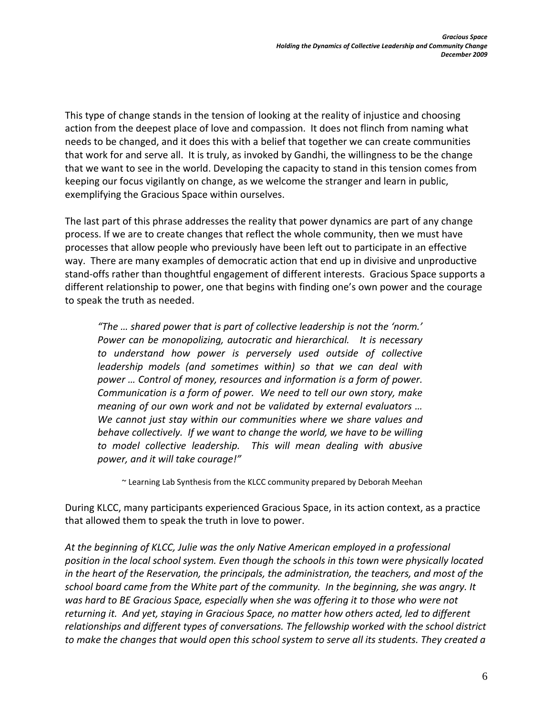This type of change stands in the tension of looking at the reality of injustice and choosing action from the deepest place of love and compassion. It does not flinch from naming what needs to be changed, and it does this with a belief that together we can create communities that work for and serve all. It is truly, as invoked by Gandhi, the willingness to be the change that we want to see in the world. Developing the capacity to stand in this tension comes from keeping our focus vigilantly on change, as we welcome the stranger and learn in public, exemplifying the Gracious Space within ourselves.

The last part of this phrase addresses the reality that power dynamics are part of any change process. If we are to create changes that reflect the whole community, then we must have processes that allow people who previously have been left out to participate in an effective way. There are many examples of democratic action that end up in divisive and unproductive stand-offs rather than thoughtful engagement of different interests. Gracious Space supports a different relationship to power, one that begins with finding one's own power and the courage to speak the truth as needed.

*"The … shared power that is part of collective leadership is not the 'norm.' Power can be monopolizing, autocratic and hierarchical. It is necessary to understand how power is perversely used outside of collective leadership models (and sometimes within) so that we can deal with power … Control of money, resources and information is a form of power. Communication is a form of power. We need to tell our own story, make meaning of our own work and not be validated by external evaluators … We cannot just stay within our communities where we share values and behave collectively. If we want to change the world, we have to be willing to model collective leadership. This will mean dealing with abusive power, and it will take courage!"* 

~ Learning Lab Synthesis from the KLCC community prepared by Deborah Meehan

During KLCC, many participants experienced Gracious Space, in its action context, as a practice that allowed them to speak the truth in love to power.

*At the beginning of KLCC, Julie was the only Native American employed in a professional position in the local school system. Even though the schools in this town were physically located in the heart of the Reservation, the principals, the administration, the teachers, and most of the school board came from the White part of the community. In the beginning, she was angry. It was hard to BE Gracious Space, especially when she was offering it to those who were not returning it. And yet, staying in Gracious Space, no matter how others acted, led to different relationships and different types of conversations. The fellowship worked with the school district to make the changes that would open this school system to serve all its students. They created a*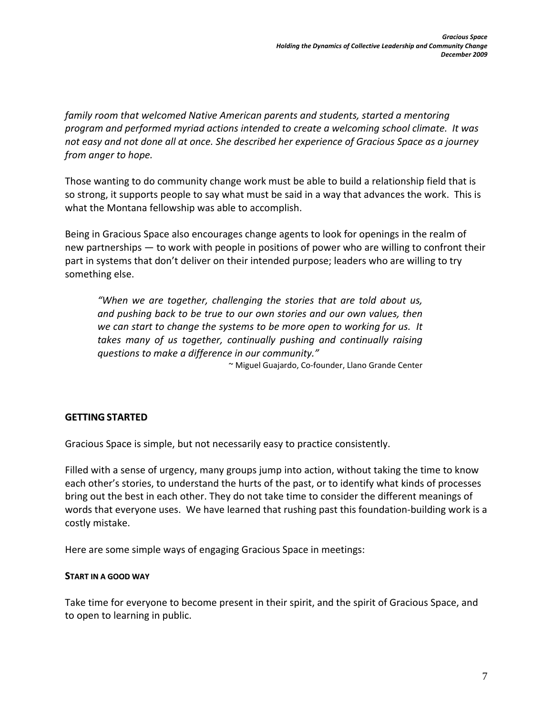*family room that welcomed Native American parents and students, started a mentoring program and performed myriad actions intended to create a welcoming school climate. It was not easy and not done all at once. She described her experience of Gracious Space as a journey from anger to hope.* 

Those wanting to do community change work must be able to build a relationship field that is so strong, it supports people to say what must be said in a way that advances the work. This is what the Montana fellowship was able to accomplish.

Being in Gracious Space also encourages change agents to look for openings in the realm of new partnerships — to work with people in positions of power who are willing to confront their part in systems that don't deliver on their intended purpose; leaders who are willing to try something else.

*"When we are together, challenging the stories that are told about us, and pushing back to be true to our own stories and our own values, then we can start to change the systems to be more open to working for us. It takes many of us together, continually pushing and continually raising questions to make a difference in our community."* 

~ Miguel Guajardo, Co-founder, Llano Grande Center

#### **GETTING STARTED**

Gracious Space is simple, but not necessarily easy to practice consistently.

Filled with a sense of urgency, many groups jump into action, without taking the time to know each other's stories, to understand the hurts of the past, or to identify what kinds of processes bring out the best in each other. They do not take time to consider the different meanings of words that everyone uses. We have learned that rushing past this foundation-building work is a costly mistake.

Here are some simple ways of engaging Gracious Space in meetings:

#### **START IN A GOOD WAY**

Take time for everyone to become present in their spirit, and the spirit of Gracious Space, and to open to learning in public.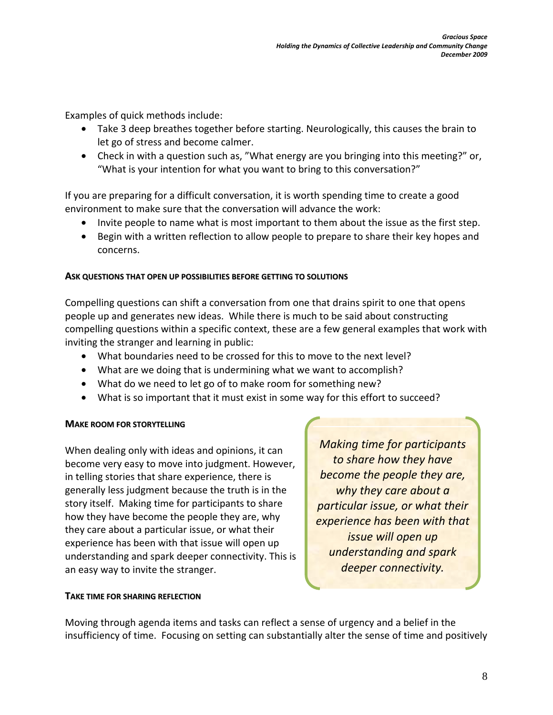Examples of quick methods include:

- Take 3 deep breathes together before starting. Neurologically, this causes the brain to let go of stress and become calmer.
- Check in with a question such as, "What energy are you bringing into this meeting?" or, "What is your intention for what you want to bring to this conversation?"

If you are preparing for a difficult conversation, it is worth spending time to create a good environment to make sure that the conversation will advance the work:

- Invite people to name what is most important to them about the issue as the first step.
- Begin with a written reflection to allow people to prepare to share their key hopes and concerns.

#### **ASK QUESTIONS THAT OPEN UP POSSIBILITIES BEFORE GETTING TO SOLUTIONS**

Compelling questions can shift a conversation from one that drains spirit to one that opens people up and generates new ideas. While there is much to be said about constructing compelling questions within a specific context, these are a few general examples that work with inviting the stranger and learning in public:

- What boundaries need to be crossed for this to move to the next level?
- What are we doing that is undermining what we want to accomplish?
- What do we need to let go of to make room for something new?
- What is so important that it must exist in some way for this effort to succeed?

### **MAKE ROOM FOR STORYTELLING**

When dealing only with ideas and opinions, it can become very easy to move into judgment. However, in telling stories that share experience, there is generally less judgment because the truth is in the story itself. Making time for participants to share how they have become the people they are, why they care about a particular issue, or what their experience has been with that issue will open up understanding and spark deeper connectivity. This is an easy way to invite the stranger.

*Making time for participants to share how they have become the people they are, why they care about a particular issue, or what their experience has been with that issue will open up understanding and spark deeper connectivity.*

#### **TAKE TIME FOR SHARING REFLECTION**

Moving through agenda items and tasks can reflect a sense of urgency and a belief in the insufficiency of time. Focusing on setting can substantially alter the sense of time and positively